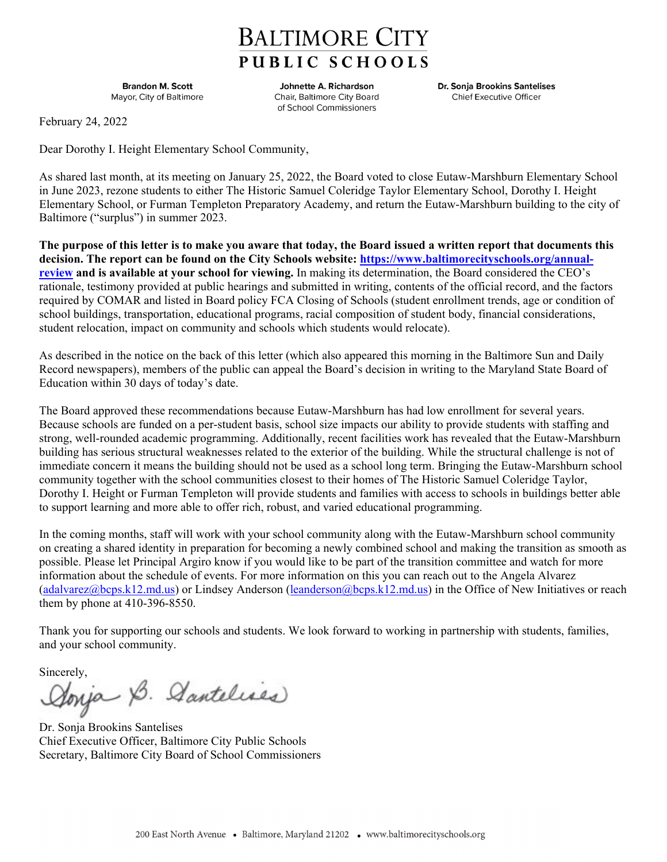## **BALTIMORE CITY** PUBLIC SCHOOLS

**Brandon M. Scott** Mayor, City of Baltimore

Johnette A. Richardson Chair, Baltimore City Board of School Commissioners

Dr. Sonja Brookins Santelises **Chief Executive Officer** 

February 24, 2022

Dear Dorothy I. Height Elementary School Community,

As shared last month, at its meeting on January 25, 2022, the Board voted to close Eutaw-Marshburn Elementary School in June 2023, rezone students to either The Historic Samuel Coleridge Taylor Elementary School, Dorothy I. Height Elementary School, or Furman Templeton Preparatory Academy, and return the Eutaw-Marshburn building to the city of Baltimore ("surplus") in summer 2023.

**The purpose of this letter is to make you aware that today, the Board issued a written report that documents this decision. The report can be found on the City Schools website: https://www.baltimorecityschools.org/annualreview and is available at your school for viewing.** In making its determination, the Board considered the CEO's rationale, testimony provided at public hearings and submitted in writing, contents of the official record, and the factors required by COMAR and listed in Board policy FCA Closing of Schools (student enrollment trends, age or condition of school buildings, transportation, educational programs, racial composition of student body, financial considerations, student relocation, impact on community and schools which students would relocate).

As described in the notice on the back of this letter (which also appeared this morning in the Baltimore Sun and Daily Record newspapers), members of the public can appeal the Board's decision in writing to the Maryland State Board of Education within 30 days of today's date.

The Board approved these recommendations because Eutaw-Marshburn has had low enrollment for several years. Because schools are funded on a per-student basis, school size impacts our ability to provide students with staffing and strong, well-rounded academic programming. Additionally, recent facilities work has revealed that the Eutaw-Marshburn building has serious structural weaknesses related to the exterior of the building. While the structural challenge is not of immediate concern it means the building should not be used as a school long term. Bringing the Eutaw-Marshburn school community together with the school communities closest to their homes of The Historic Samuel Coleridge Taylor, Dorothy I. Height or Furman Templeton will provide students and families with access to schools in buildings better able to support learning and more able to offer rich, robust, and varied educational programming.

In the coming months, staff will work with your school community along with the Eutaw-Marshburn school community on creating a shared identity in preparation for becoming a newly combined school and making the transition as smooth as possible. Please let Principal Argiro know if you would like to be part of the transition committee and watch for more information about the schedule of events. For more information on this you can reach out to the Angela Alvarez (adalvarez@bcps.k12.md.us) or Lindsey Anderson (leanderson@bcps.k12.md.us) in the Office of New Initiatives or reach them by phone at 410-396-8550.

Thank you for supporting our schools and students. We look forward to working in partnership with students, families, and your school community.

Sincerely,<br>Aonja B. Aantelises

Dr. Sonja Brookins Santelises Chief Executive Officer, Baltimore City Public Schools Secretary, Baltimore City Board of School Commissioners